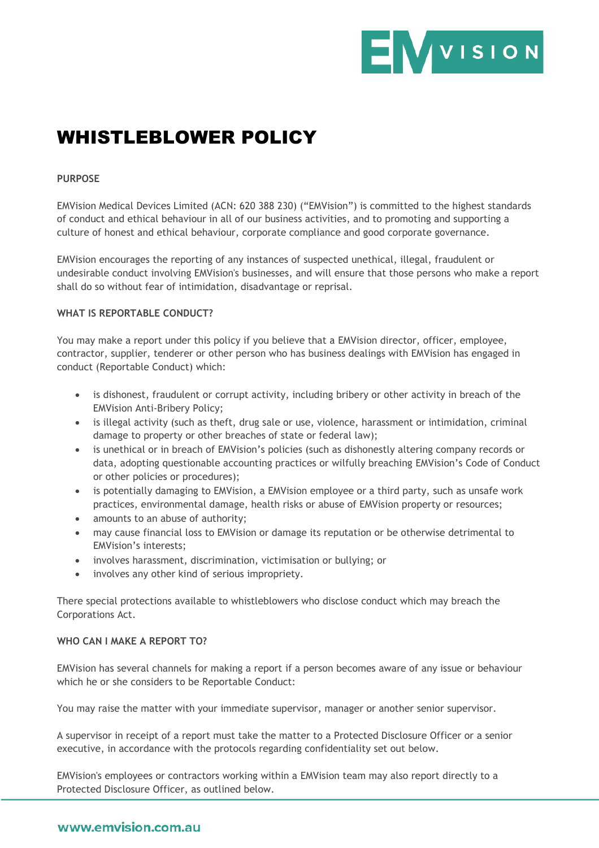

# WHISTLEBLOWER POLICY

### **PURPOSE**

EMVision Medical Devices Limited (ACN: 620 388 230) ("EMVision") is committed to the highest standards of conduct and ethical behaviour in all of our business activities, and to promoting and supporting a culture of honest and ethical behaviour, corporate compliance and good corporate governance.

EMVision encourages the reporting of any instances of suspected unethical, illegal, fraudulent or undesirable conduct involving EMVision's businesses, and will ensure that those persons who make a report shall do so without fear of intimidation, disadvantage or reprisal.

#### **WHAT IS REPORTABLE CONDUCT?**

You may make a report under this policy if you believe that a EMVision director, officer, employee, contractor, supplier, tenderer or other person who has business dealings with EMVision has engaged in conduct (Reportable Conduct) which:

- is dishonest, fraudulent or corrupt activity, including bribery or other activity in breach of the EMVision Anti-Bribery Policy;
- is illegal activity (such as theft, drug sale or use, violence, harassment or intimidation, criminal damage to property or other breaches of state or federal law);
- is unethical or in breach of EMVision's policies (such as dishonestly altering company records or data, adopting questionable accounting practices or wilfully breaching EMVision's Code of Conduct or other policies or procedures);
- is potentially damaging to EMVision, a EMVision employee or a third party, such as unsafe work practices, environmental damage, health risks or abuse of EMVision property or resources;
- amounts to an abuse of authority;
- may cause financial loss to EMVision or damage its reputation or be otherwise detrimental to EMVision's interests;
- involves harassment, discrimination, victimisation or bullying; or
- involves any other kind of serious impropriety.

There special protections available to whistleblowers who disclose conduct which may breach the Corporations Act.

#### **WHO CAN I MAKE A REPORT TO?**

EMVision has several channels for making a report if a person becomes aware of any issue or behaviour which he or she considers to be Reportable Conduct:

You may raise the matter with your immediate supervisor, manager or another senior supervisor.

A supervisor in receipt of a report must take the matter to a Protected Disclosure Officer or a senior executive, in accordance with the protocols regarding confidentiality set out below.

EMVision's employees or contractors working within a EMVision team may also report directly to a Protected Disclosure Officer, as outlined below.

# www.emvision.com.au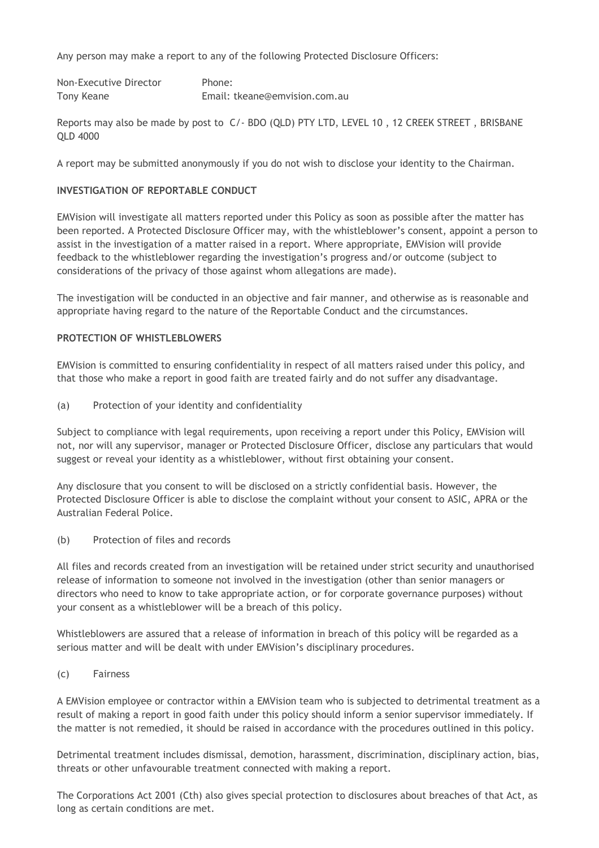Any person may make a report to any of the following Protected Disclosure Officers:

| Non-Executive Director | Phone:                        |
|------------------------|-------------------------------|
| Tony Keane             | Email: tkeane@emvision.com.au |

Reports may also be made by post to C/- BDO (QLD) PTY LTD, LEVEL 10 , 12 CREEK STREET , BRISBANE QLD 4000

A report may be submitted anonymously if you do not wish to disclose your identity to the Chairman.

# **INVESTIGATION OF REPORTABLE CONDUCT**

EMVision will investigate all matters reported under this Policy as soon as possible after the matter has been reported. A Protected Disclosure Officer may, with the whistleblower's consent, appoint a person to assist in the investigation of a matter raised in a report. Where appropriate, EMVision will provide feedback to the whistleblower regarding the investigation's progress and/or outcome (subject to considerations of the privacy of those against whom allegations are made).

The investigation will be conducted in an objective and fair manner, and otherwise as is reasonable and appropriate having regard to the nature of the Reportable Conduct and the circumstances.

#### **PROTECTION OF WHISTLEBLOWERS**

EMVision is committed to ensuring confidentiality in respect of all matters raised under this policy, and that those who make a report in good faith are treated fairly and do not suffer any disadvantage.

(a) Protection of your identity and confidentiality

Subject to compliance with legal requirements, upon receiving a report under this Policy, EMVision will not, nor will any supervisor, manager or Protected Disclosure Officer, disclose any particulars that would suggest or reveal your identity as a whistleblower, without first obtaining your consent.

Any disclosure that you consent to will be disclosed on a strictly confidential basis. However, the Protected Disclosure Officer is able to disclose the complaint without your consent to ASIC, APRA or the Australian Federal Police.

(b) Protection of files and records

All files and records created from an investigation will be retained under strict security and unauthorised release of information to someone not involved in the investigation (other than senior managers or directors who need to know to take appropriate action, or for corporate governance purposes) without your consent as a whistleblower will be a breach of this policy.

Whistleblowers are assured that a release of information in breach of this policy will be regarded as a serious matter and will be dealt with under EMVision's disciplinary procedures.

(c) Fairness

A EMVision employee or contractor within a EMVision team who is subjected to detrimental treatment as a result of making a report in good faith under this policy should inform a senior supervisor immediately. If the matter is not remedied, it should be raised in accordance with the procedures outlined in this policy.

Detrimental treatment includes dismissal, demotion, harassment, discrimination, disciplinary action, bias, threats or other unfavourable treatment connected with making a report.

The Corporations Act 2001 (Cth) also gives special protection to disclosures about breaches of that Act, as long as certain conditions are met.